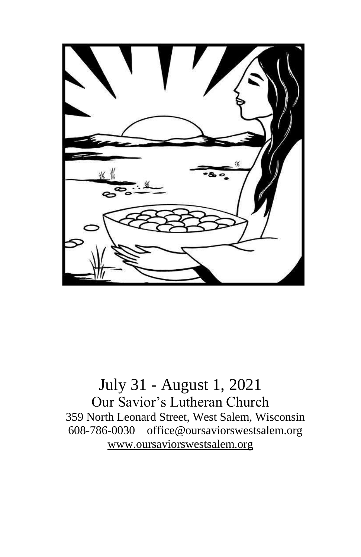

July 31 - August 1, 2021 Our Savior's Lutheran Church 359 North Leonard Street, West Salem, Wisconsin 608-786-0030 office@oursaviorswestsalem.org [www.oursaviorswestsalem.org](http://www.oursaviorswestsalem.org/)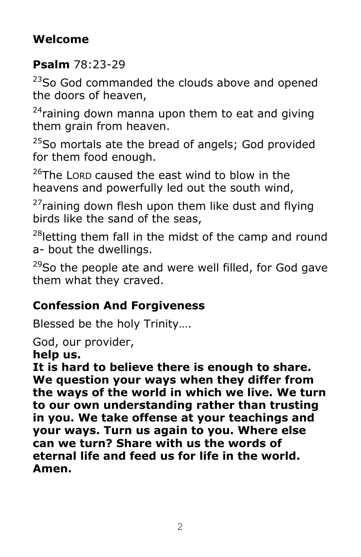# **Welcome**

#### **Psalm** 78:23-29

<sup>23</sup>So God commanded the clouds above and opened the doors of heaven,

 $24$ raining down manna upon them to eat and giving them grain from heaven.

 $25$ So mortals ate the bread of angels; God provided for them food enough.

 $^{26}$ The LORD caused the east wind to blow in the heavens and powerfully led out the south wind,

 $27$ raining down flesh upon them like dust and flying birds like the sand of the seas,

<sup>28</sup>letting them fall in the midst of the camp and round a- bout the dwellings.

 $29$ So the people ate and were well filled, for God gave them what they craved.

# **Confession And Forgiveness**

Blessed be the holy Trinity….

God, our provider,

**help us.**

**It is hard to believe there is enough to share. We question your ways when they differ from the ways of the world in which we live. We turn to our own understanding rather than trusting in you. We take offense at your teachings and your ways. Turn us again to you. Where else can we turn? Share with us the words of eternal life and feed us for life in the world. Amen.**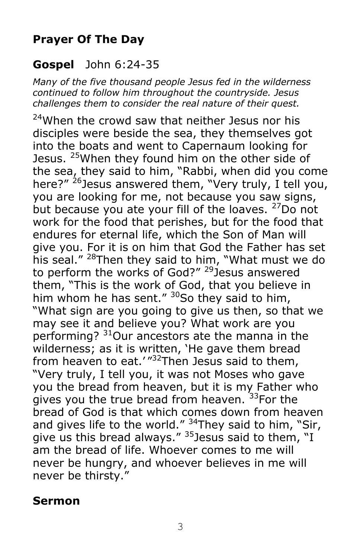# **Prayer Of The Day**

#### **Gospel** John 6:24-35

*Many of the five thousand people Jesus fed in the wilderness continued to follow him throughout the countryside. Jesus challenges them to consider the real nature of their quest.*

<sup>24</sup>When the crowd saw that neither Jesus nor his disciples were beside the sea, they themselves got into the boats and went to Capernaum looking for Jesus. <sup>25</sup>When they found him on the other side of the sea, they said to him, "Rabbi, when did you come here?" <sup>26</sup>Jesus answered them, "Very truly, I tell you, you are looking for me, not because you saw signs, but because you ate your fill of the loaves. <sup>27</sup>Do not work for the food that perishes, but for the food that endures for eternal life, which the Son of Man will give you. For it is on him that God the Father has set his seal." <sup>28</sup>Then they said to him, "What must we do to perform the works of God?" <sup>29</sup> Jesus answered them, "This is the work of God, that you believe in him whom he has sent."  $30$ So they said to him, "What sign are you going to give us then, so that we may see it and believe you? What work are you performing? <sup>31</sup>Our ancestors ate the manna in the wilderness; as it is written, 'He gave them bread from heaven to eat.' "<sup>32</sup>Then Jesus said to them, "Very truly, I tell you, it was not Moses who gave you the bread from heaven, but it is my Father who gives you the true bread from heaven. 33For the bread of God is that which comes down from heaven and gives life to the world."  $34$ They said to him, "Sir, give us this bread always."  $35$  Jesus said to them, "I am the bread of life. Whoever comes to me will never be hungry, and whoever believes in me will never be thirsty."

#### **Sermon**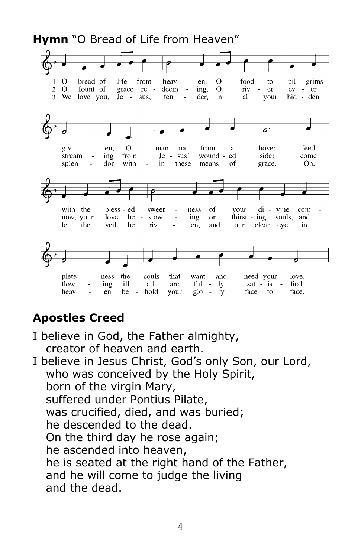**Hymn** "O Bread of Life from Heaven"



#### **Apostles Creed**

- I believe in God, the Father almighty, creator of heaven and earth.
- I believe in Jesus Christ, God's only Son, our Lord, who was conceived by the Holy Spirit, born of the virgin Mary, suffered under Pontius Pilate, was crucified, died, and was buried; he descended to the dead. On the third day he rose again; he ascended into heaven, he is seated at the right hand of the Father, and he will come to judge the living and the dead.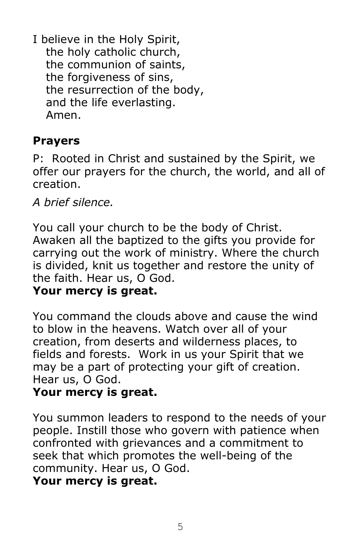I believe in the Holy Spirit, the holy catholic church, the communion of saints, the forgiveness of sins, the resurrection of the body, and the life everlasting. Amen.

#### **Prayers**

P: Rooted in Christ and sustained by the Spirit, we offer our prayers for the church, the world, and all of creation.

*A brief silence.*

You call your church to be the body of Christ. Awaken all the baptized to the gifts you provide for carrying out the work of ministry. Where the church is divided, knit us together and restore the unity of the faith. Hear us, O God.

#### **Your mercy is great.**

You command the clouds above and cause the wind to blow in the heavens. Watch over all of your creation, from deserts and wilderness places, to fields and forests. Work in us your Spirit that we may be a part of protecting your gift of creation. Hear us, O God.

#### **Your mercy is great.**

You summon leaders to respond to the needs of your people. Instill those who govern with patience when confronted with grievances and a commitment to seek that which promotes the well-being of the community. Hear us, O God.

#### **Your mercy is great.**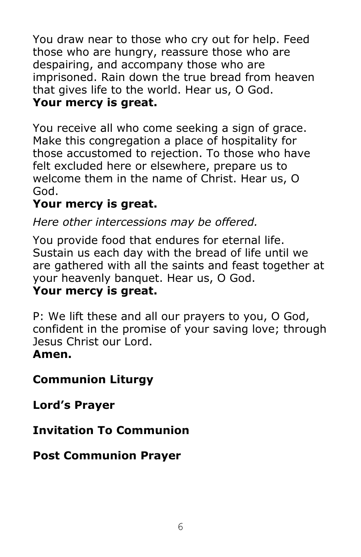You draw near to those who cry out for help. Feed those who are hungry, reassure those who are despairing, and accompany those who are imprisoned. Rain down the true bread from heaven that gives life to the world. Hear us, O God. **Your mercy is great.**

You receive all who come seeking a sign of grace. Make this congregation a place of hospitality for those accustomed to rejection. To those who have felt excluded here or elsewhere, prepare us to welcome them in the name of Christ. Hear us, O God.

# **Your mercy is great.**

*Here other intercessions may be offered.*

You provide food that endures for eternal life. Sustain us each day with the bread of life until we are gathered with all the saints and feast together at your heavenly banquet. Hear us, O God.

# **Your mercy is great.**

P: We lift these and all our prayers to you, O God, confident in the promise of your saving love; through Jesus Christ our Lord.

# **Amen.**

# **Communion Liturgy**

**Lord's Prayer**

# **Invitation To Communion**

# **Post Communion Prayer**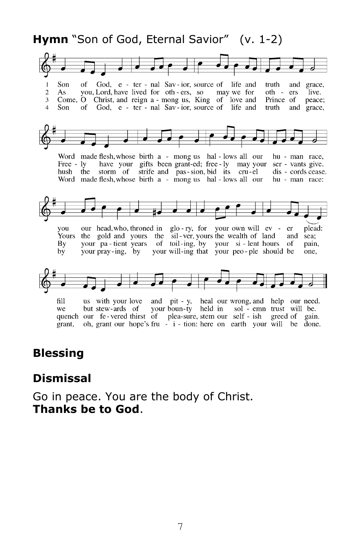#### **Hymn** "Son of God, Eternal Savior" (v. 1-2)



#### **Blessing**

#### **Dismissal**

Go in peace. You are the body of Christ. **Thanks be to God**.